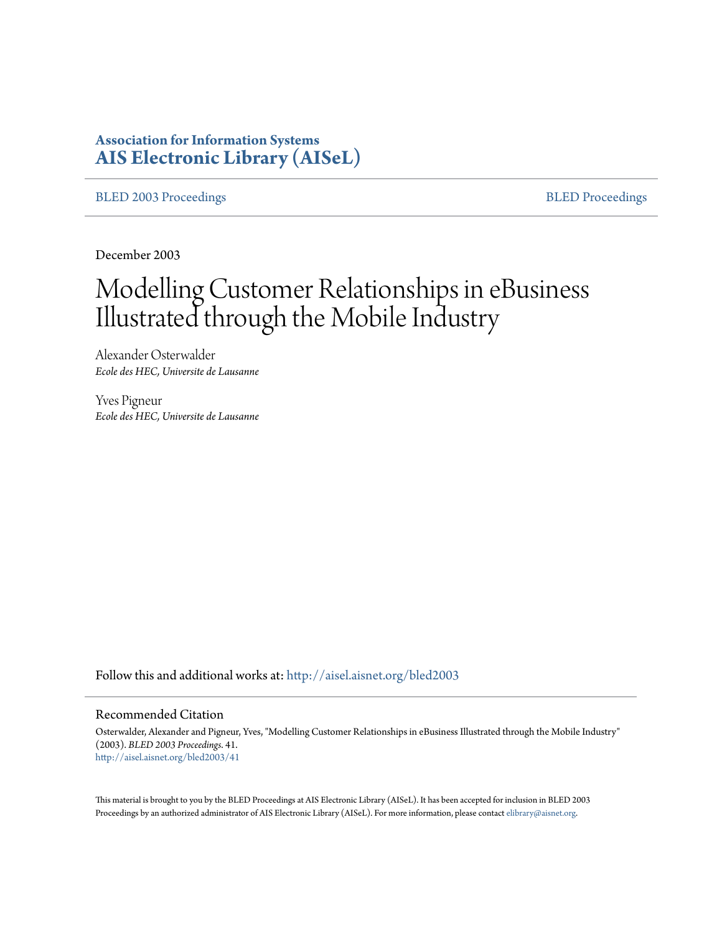# **Association for Information Systems [AIS Electronic Library \(AISeL\)](http://aisel.aisnet.org?utm_source=aisel.aisnet.org%2Fbled2003%2F41&utm_medium=PDF&utm_campaign=PDFCoverPages)**

[BLED 2003 Proceedings](http://aisel.aisnet.org/bled2003?utm_source=aisel.aisnet.org%2Fbled2003%2F41&utm_medium=PDF&utm_campaign=PDFCoverPages) **[BLED Proceedings](http://aisel.aisnet.org/bled?utm_source=aisel.aisnet.org%2Fbled2003%2F41&utm_medium=PDF&utm_campaign=PDFCoverPages)** 

December 2003

# Modelling Customer Relationships in eBusiness Illustrated through the Mobile Industry

Alexander Osterwalder *Ecole des HEC, Universite de Lausanne*

Yves Pigneur *Ecole des HEC, Universite de Lausanne*

Follow this and additional works at: [http://aisel.aisnet.org/bled2003](http://aisel.aisnet.org/bled2003?utm_source=aisel.aisnet.org%2Fbled2003%2F41&utm_medium=PDF&utm_campaign=PDFCoverPages)

#### Recommended Citation

Osterwalder, Alexander and Pigneur, Yves, "Modelling Customer Relationships in eBusiness Illustrated through the Mobile Industry" (2003). *BLED 2003 Proceedings*. 41. [http://aisel.aisnet.org/bled2003/41](http://aisel.aisnet.org/bled2003/41?utm_source=aisel.aisnet.org%2Fbled2003%2F41&utm_medium=PDF&utm_campaign=PDFCoverPages)

This material is brought to you by the BLED Proceedings at AIS Electronic Library (AISeL). It has been accepted for inclusion in BLED 2003 Proceedings by an authorized administrator of AIS Electronic Library (AISeL). For more information, please contact [elibrary@aisnet.org](mailto:elibrary@aisnet.org%3E).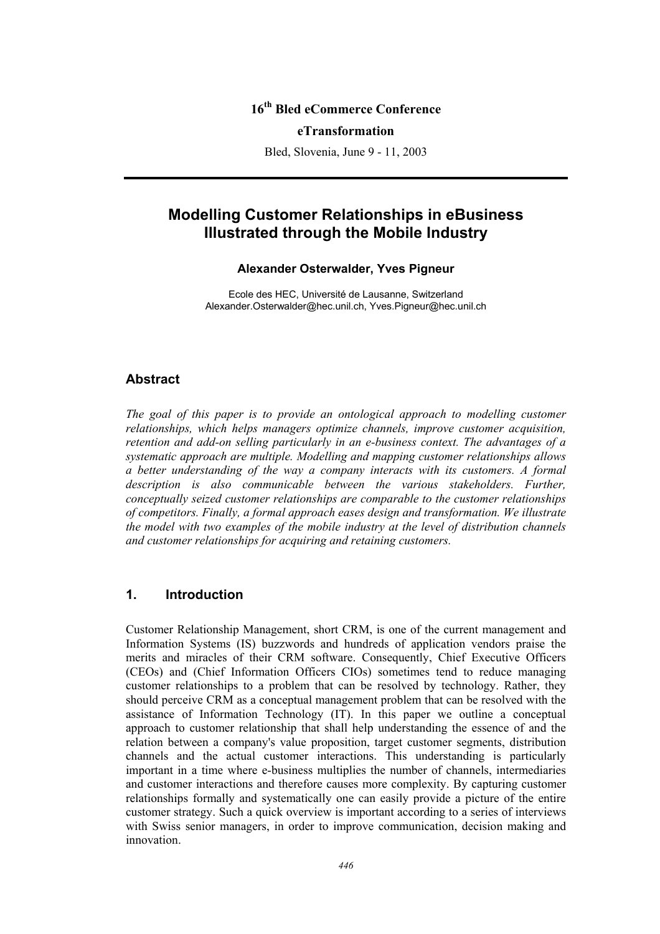# **16th Bled eCommerce Conference**

#### **eTransformation**

Bled, Slovenia, June 9 - 11, 2003

# **Modelling Customer Relationships in eBusiness Illustrated through the Mobile Industry**

## **Alexander Osterwalder, Yves Pigneur**

Ecole des HEC, Université de Lausanne, Switzerland Alexander.Osterwalder@hec.unil.ch, Yves.Pigneur@hec.unil.ch

#### **Abstract**

*The goal of this paper is to provide an ontological approach to modelling customer relationships, which helps managers optimize channels, improve customer acquisition, retention and add-on selling particularly in an e-business context. The advantages of a systematic approach are multiple. Modelling and mapping customer relationships allows a better understanding of the way a company interacts with its customers. A formal description is also communicable between the various stakeholders. Further, conceptually seized customer relationships are comparable to the customer relationships of competitors. Finally, a formal approach eases design and transformation. We illustrate the model with two examples of the mobile industry at the level of distribution channels and customer relationships for acquiring and retaining customers.* 

## **1. Introduction**

Customer Relationship Management, short CRM, is one of the current management and Information Systems (IS) buzzwords and hundreds of application vendors praise the merits and miracles of their CRM software. Consequently, Chief Executive Officers (CEOs) and (Chief Information Officers CIOs) sometimes tend to reduce managing customer relationships to a problem that can be resolved by technology. Rather, they should perceive CRM as a conceptual management problem that can be resolved with the assistance of Information Technology (IT). In this paper we outline a conceptual approach to customer relationship that shall help understanding the essence of and the relation between a company's value proposition, target customer segments, distribution channels and the actual customer interactions. This understanding is particularly important in a time where e-business multiplies the number of channels, intermediaries and customer interactions and therefore causes more complexity. By capturing customer relationships formally and systematically one can easily provide a picture of the entire customer strategy. Such a quick overview is important according to a series of interviews with Swiss senior managers, in order to improve communication, decision making and innovation.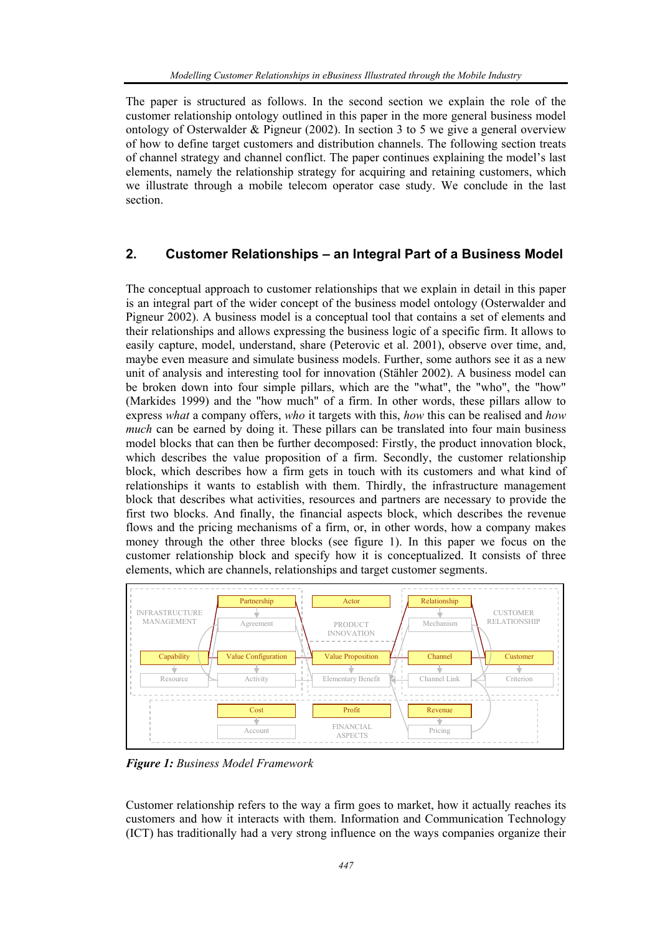The paper is structured as follows. In the second section we explain the role of the customer relationship ontology outlined in this paper in the more general business model ontology of Osterwalder & Pigneur (2002). In section 3 to 5 we give a general overview of how to define target customers and distribution channels. The following section treats of channel strategy and channel conflict. The paper continues explaining the model's last elements, namely the relationship strategy for acquiring and retaining customers, which we illustrate through a mobile telecom operator case study. We conclude in the last section.

## **2. Customer Relationships – an Integral Part of a Business Model**

The conceptual approach to customer relationships that we explain in detail in this paper is an integral part of the wider concept of the business model ontology (Osterwalder and Pigneur 2002). A business model is a conceptual tool that contains a set of elements and their relationships and allows expressing the business logic of a specific firm. It allows to easily capture, model, understand, share (Peterovic et al. 2001), observe over time, and, maybe even measure and simulate business models. Further, some authors see it as a new unit of analysis and interesting tool for innovation (Stähler 2002). A business model can be broken down into four simple pillars, which are the "what", the "who", the "how" (Markides 1999) and the "how much" of a firm. In other words, these pillars allow to express *what* a company offers, *who* it targets with this, *how* this can be realised and *how much* can be earned by doing it. These pillars can be translated into four main business model blocks that can then be further decomposed: Firstly, the product innovation block, which describes the value proposition of a firm. Secondly, the customer relationship block, which describes how a firm gets in touch with its customers and what kind of relationships it wants to establish with them. Thirdly, the infrastructure management block that describes what activities, resources and partners are necessary to provide the first two blocks. And finally, the financial aspects block, which describes the revenue flows and the pricing mechanisms of a firm, or, in other words, how a company makes money through the other three blocks (see figure 1). In this paper we focus on the customer relationship block and specify how it is conceptualized. It consists of three elements, which are channels, relationships and target customer segments.



*Figure 1: Business Model Framework* 

Customer relationship refers to the way a firm goes to market, how it actually reaches its customers and how it interacts with them. Information and Communication Technology (ICT) has traditionally had a very strong influence on the ways companies organize their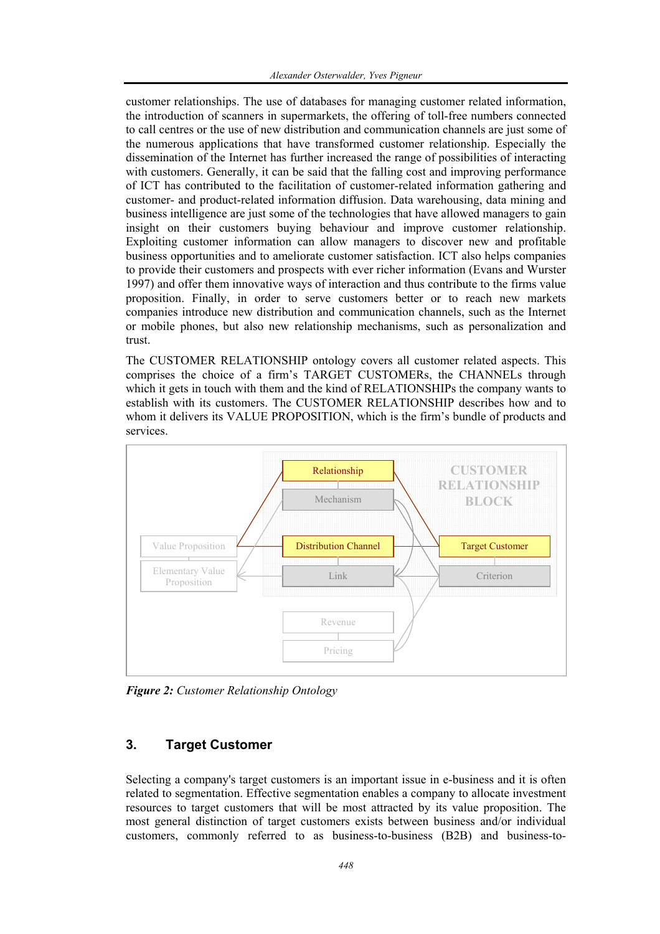customer relationships. The use of databases for managing customer related information, the introduction of scanners in supermarkets, the offering of toll-free numbers connected to call centres or the use of new distribution and communication channels are just some of the numerous applications that have transformed customer relationship. Especially the dissemination of the Internet has further increased the range of possibilities of interacting with customers. Generally, it can be said that the falling cost and improving performance of ICT has contributed to the facilitation of customer-related information gathering and customer- and product-related information diffusion. Data warehousing, data mining and business intelligence are just some of the technologies that have allowed managers to gain insight on their customers buying behaviour and improve customer relationship. Exploiting customer information can allow managers to discover new and profitable business opportunities and to ameliorate customer satisfaction. ICT also helps companies to provide their customers and prospects with ever richer information (Evans and Wurster 1997) and offer them innovative ways of interaction and thus contribute to the firms value proposition. Finally, in order to serve customers better or to reach new markets companies introduce new distribution and communication channels, such as the Internet or mobile phones, but also new relationship mechanisms, such as personalization and trust.

The CUSTOMER RELATIONSHIP ontology covers all customer related aspects. This comprises the choice of a firm's TARGET CUSTOMERs, the CHANNELs through which it gets in touch with them and the kind of RELATIONSHIPs the company wants to establish with its customers. The CUSTOMER RELATIONSHIP describes how and to whom it delivers its VALUE PROPOSITION, which is the firm's bundle of products and services.



*Figure 2: Customer Relationship Ontology* 

# **3. Target Customer**

Selecting a company's target customers is an important issue in e-business and it is often related to segmentation. Effective segmentation enables a company to allocate investment resources to target customers that will be most attracted by its value proposition. The most general distinction of target customers exists between business and/or individual customers, commonly referred to as business-to-business (B2B) and business-to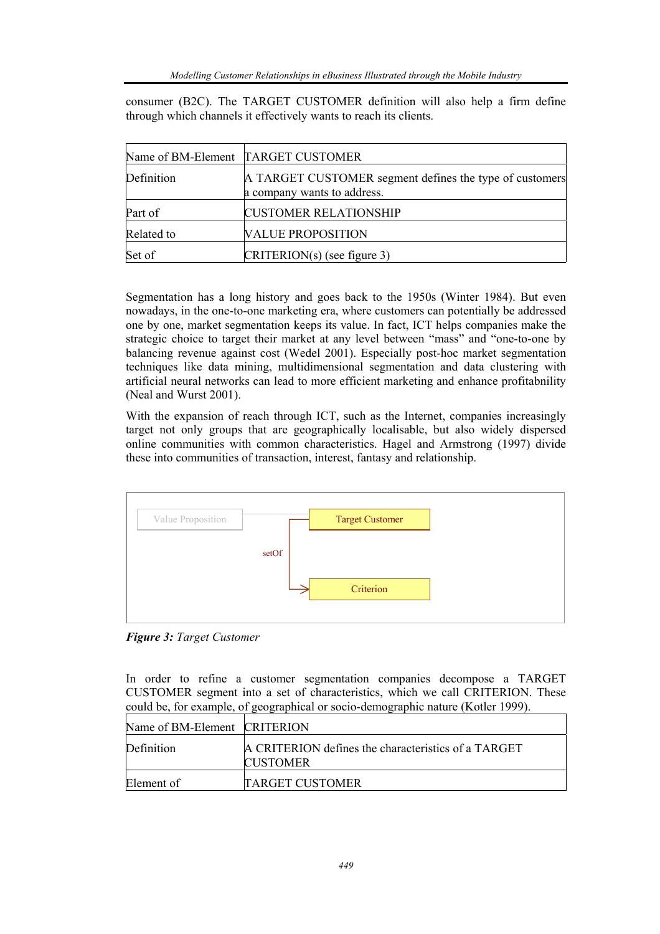consumer (B2C). The TARGET CUSTOMER definition will also help a firm define through which channels it effectively wants to reach its clients.

|            | Name of BM-Element TARGET CUSTOMER                                                     |  |  |  |
|------------|----------------------------------------------------------------------------------------|--|--|--|
| Definition | A TARGET CUSTOMER segment defines the type of customers<br>a company wants to address. |  |  |  |
| Part of    | <b>CUSTOMER RELATIONSHIP</b>                                                           |  |  |  |
| Related to | <b>VALUE PROPOSITION</b>                                                               |  |  |  |
| Set of     | $CRITERION(s)$ (see figure 3)                                                          |  |  |  |

Segmentation has a long history and goes back to the 1950s (Winter 1984). But even nowadays, in the one-to-one marketing era, where customers can potentially be addressed one by one, market segmentation keeps its value. In fact, ICT helps companies make the strategic choice to target their market at any level between "mass" and "one-to-one by balancing revenue against cost (Wedel 2001). Especially post-hoc market segmentation techniques like data mining, multidimensional segmentation and data clustering with artificial neural networks can lead to more efficient marketing and enhance profitabnility (Neal and Wurst 2001).

With the expansion of reach through ICT, such as the Internet, companies increasingly target not only groups that are geographically localisable, but also widely dispersed online communities with common characteristics. Hagel and Armstrong (1997) divide these into communities of transaction, interest, fantasy and relationship.



*Figure 3: Target Customer* 

In order to refine a customer segmentation companies decompose a TARGET CUSTOMER segment into a set of characteristics, which we call CRITERION. These could be, for example, of geographical or socio-demographic nature (Kotler 1999).

| Name of BM-Element CRITERION |                                                                        |  |  |  |
|------------------------------|------------------------------------------------------------------------|--|--|--|
| Definition                   | A CRITERION defines the characteristics of a TARGET<br><b>CUSTOMER</b> |  |  |  |
| Element of                   | <b>TARGET CUSTOMER</b>                                                 |  |  |  |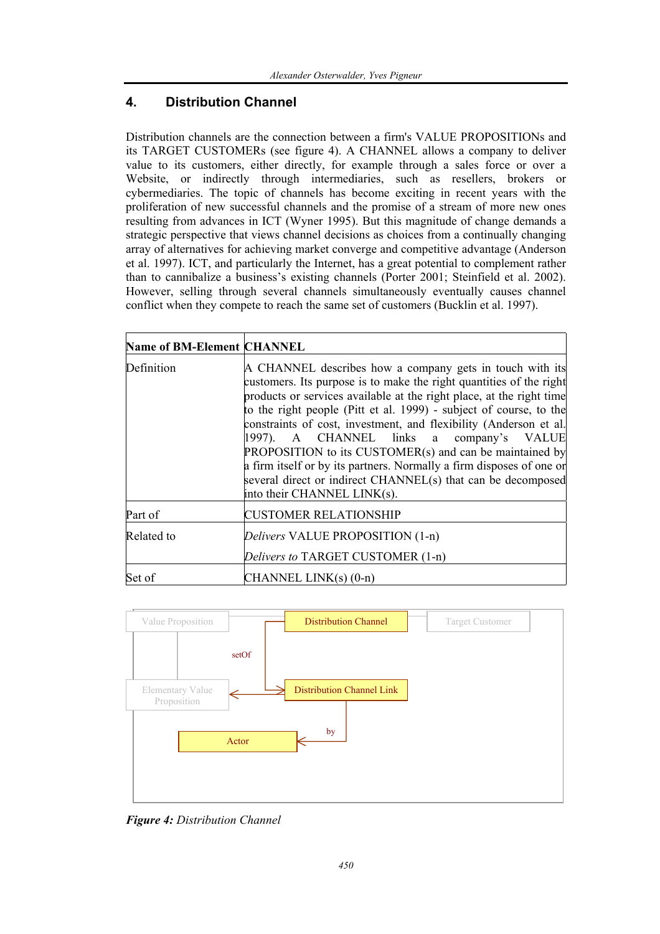# **4. Distribution Channel**

Distribution channels are the connection between a firm's VALUE PROPOSITIONs and its TARGET CUSTOMERs (see figure 4). A CHANNEL allows a company to deliver value to its customers, either directly, for example through a sales force or over a Website, or indirectly through intermediaries, such as resellers, brokers or cybermediaries. The topic of channels has become exciting in recent years with the proliferation of new successful channels and the promise of a stream of more new ones resulting from advances in ICT (Wyner 1995). But this magnitude of change demands a strategic perspective that views channel decisions as choices from a continually changing array of alternatives for achieving market converge and competitive advantage (Anderson et al. 1997). ICT, and particularly the Internet, has a great potential to complement rather than to cannibalize a business's existing channels (Porter 2001; Steinfield et al. 2002). However, selling through several channels simultaneously eventually causes channel conflict when they compete to reach the same set of customers (Bucklin et al. 1997).

|            | <b>Name of BM-Element CHANNEL</b>                                                                                                                                                                                                                                                                                                                                                                                                                                                                                                                                                                                                |
|------------|----------------------------------------------------------------------------------------------------------------------------------------------------------------------------------------------------------------------------------------------------------------------------------------------------------------------------------------------------------------------------------------------------------------------------------------------------------------------------------------------------------------------------------------------------------------------------------------------------------------------------------|
| Definition | A CHANNEL describes how a company gets in touch with its<br>customers. Its purpose is to make the right quantities of the right<br>products or services available at the right place, at the right time<br>to the right people (Pitt et al. 1999) - subject of course, to the<br>constraints of cost, investment, and flexibility (Anderson et al.<br>1997). A CHANNEL links a company's VALUE<br>PROPOSITION to its CUSTOMER(s) and can be maintained by<br>a firm itself or by its partners. Normally a firm disposes of one or<br>several direct or indirect CHANNEL(s) that can be decomposed<br>into their CHANNEL LINK(s). |
| Part of    | <b>CUSTOMER RELATIONSHIP</b>                                                                                                                                                                                                                                                                                                                                                                                                                                                                                                                                                                                                     |
| Related to | Delivers VALUE PROPOSITION (1-n)<br>Delivers to TARGET CUSTOMER (1-n)                                                                                                                                                                                                                                                                                                                                                                                                                                                                                                                                                            |
| Set of     | CHANNEL LINK $(s)$ $(0-n)$                                                                                                                                                                                                                                                                                                                                                                                                                                                                                                                                                                                                       |



*Figure 4: Distribution Channel*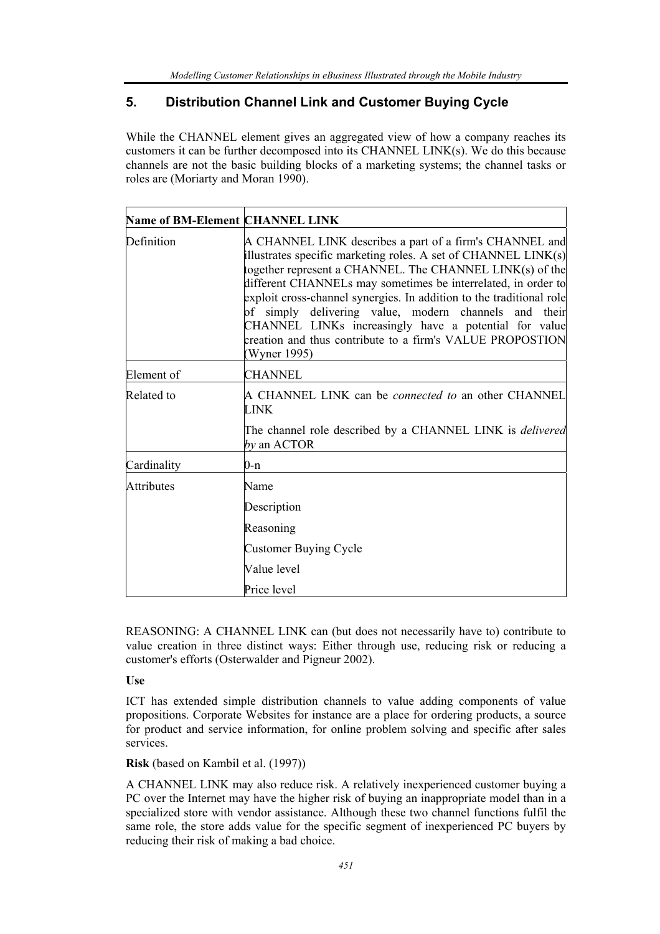# **5. Distribution Channel Link and Customer Buying Cycle**

While the CHANNEL element gives an aggregated view of how a company reaches its customers it can be further decomposed into its CHANNEL LINK(s). We do this because channels are not the basic building blocks of a marketing systems; the channel tasks or roles are (Moriarty and Moran 1990).

| Name of BM-Element CHANNEL LINK |                                                                                                                                                                                                                                                                                                                                                                                                                                                                                                                                 |  |  |  |  |
|---------------------------------|---------------------------------------------------------------------------------------------------------------------------------------------------------------------------------------------------------------------------------------------------------------------------------------------------------------------------------------------------------------------------------------------------------------------------------------------------------------------------------------------------------------------------------|--|--|--|--|
| Definition                      | A CHANNEL LINK describes a part of a firm's CHANNEL and<br>illustrates specific marketing roles. A set of CHANNEL $LINK(s)$<br>together represent a CHANNEL. The CHANNEL LINK(s) of the<br>different CHANNELs may sometimes be interrelated, in order to<br>exploit cross-channel synergies. In addition to the traditional role<br>of simply delivering value, modern channels and their<br>CHANNEL LINKs increasingly have a potential for value<br>creation and thus contribute to a firm's VALUE PROPOSTION<br>(Wyner 1995) |  |  |  |  |
| Element of                      | <b>CHANNEL</b>                                                                                                                                                                                                                                                                                                                                                                                                                                                                                                                  |  |  |  |  |
| Related to                      | A CHANNEL LINK can be <i>connected to</i> an other CHANNEL<br><b>LINK</b>                                                                                                                                                                                                                                                                                                                                                                                                                                                       |  |  |  |  |
|                                 | The channel role described by a CHANNEL LINK is <i>delivered</i><br>by an ACTOR                                                                                                                                                                                                                                                                                                                                                                                                                                                 |  |  |  |  |
| Cardinality                     | 0-n                                                                                                                                                                                                                                                                                                                                                                                                                                                                                                                             |  |  |  |  |
| <b>Attributes</b>               | Name                                                                                                                                                                                                                                                                                                                                                                                                                                                                                                                            |  |  |  |  |
|                                 | Description                                                                                                                                                                                                                                                                                                                                                                                                                                                                                                                     |  |  |  |  |
|                                 | Reasoning                                                                                                                                                                                                                                                                                                                                                                                                                                                                                                                       |  |  |  |  |
|                                 | <b>Customer Buying Cycle</b>                                                                                                                                                                                                                                                                                                                                                                                                                                                                                                    |  |  |  |  |
|                                 | Value level                                                                                                                                                                                                                                                                                                                                                                                                                                                                                                                     |  |  |  |  |
|                                 | Price level                                                                                                                                                                                                                                                                                                                                                                                                                                                                                                                     |  |  |  |  |

REASONING: A CHANNEL LINK can (but does not necessarily have to) contribute to value creation in three distinct ways: Either through use, reducing risk or reducing a customer's efforts (Osterwalder and Pigneur 2002).

**Use** 

ICT has extended simple distribution channels to value adding components of value propositions. Corporate Websites for instance are a place for ordering products, a source for product and service information, for online problem solving and specific after sales services.

**Risk** (based on Kambil et al. (1997))

A CHANNEL LINK may also reduce risk. A relatively inexperienced customer buying a PC over the Internet may have the higher risk of buying an inappropriate model than in a specialized store with vendor assistance. Although these two channel functions fulfil the same role, the store adds value for the specific segment of inexperienced PC buyers by reducing their risk of making a bad choice.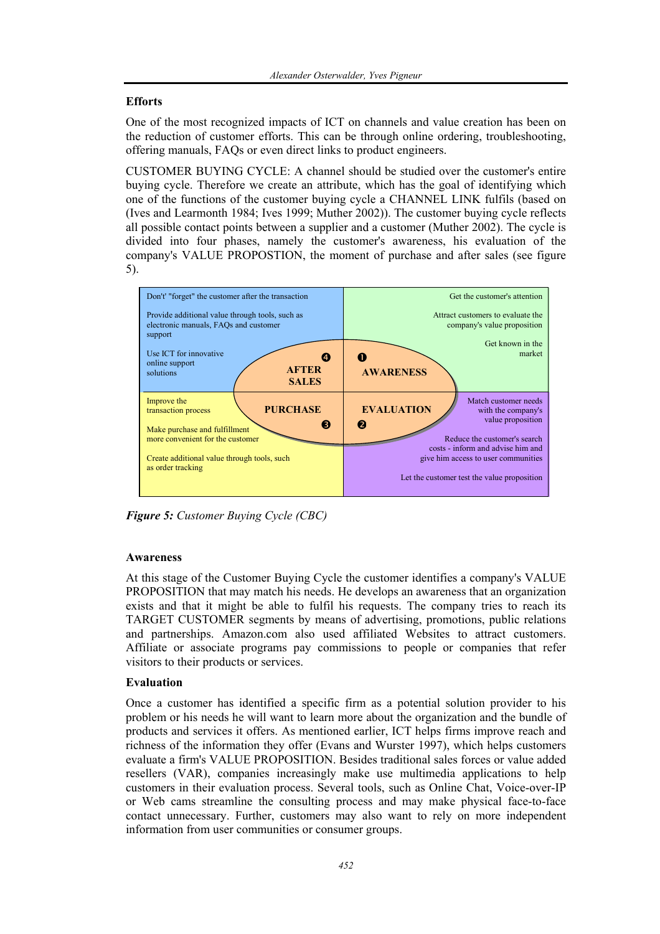#### **Efforts**

One of the most recognized impacts of ICT on channels and value creation has been on the reduction of customer efforts. This can be through online ordering, troubleshooting, offering manuals, FAQs or even direct links to product engineers.

CUSTOMER BUYING CYCLE: A channel should be studied over the customer's entire buying cycle. Therefore we create an attribute, which has the goal of identifying which one of the functions of the customer buying cycle a CHANNEL LINK fulfils (based on (Ives and Learmonth 1984; Ives 1999; Muther 2002)). The customer buying cycle reflects all possible contact points between a supplier and a customer (Muther 2002). The cycle is divided into four phases, namely the customer's awareness, his evaluation of the company's VALUE PROPOSTION, the moment of purchase and after sales (see figure 5).



*Figure 5: Customer Buying Cycle (CBC)* 

#### **Awareness**

At this stage of the Customer Buying Cycle the customer identifies a company's VALUE PROPOSITION that may match his needs. He develops an awareness that an organization exists and that it might be able to fulfil his requests. The company tries to reach its TARGET CUSTOMER segments by means of advertising, promotions, public relations and partnerships. Amazon.com also used affiliated Websites to attract customers. Affiliate or associate programs pay commissions to people or companies that refer visitors to their products or services.

#### **Evaluation**

Once a customer has identified a specific firm as a potential solution provider to his problem or his needs he will want to learn more about the organization and the bundle of products and services it offers. As mentioned earlier, ICT helps firms improve reach and richness of the information they offer (Evans and Wurster 1997), which helps customers evaluate a firm's VALUE PROPOSITION. Besides traditional sales forces or value added resellers (VAR), companies increasingly make use multimedia applications to help customers in their evaluation process. Several tools, such as Online Chat, Voice-over-IP or Web cams streamline the consulting process and may make physical face-to-face contact unnecessary. Further, customers may also want to rely on more independent information from user communities or consumer groups.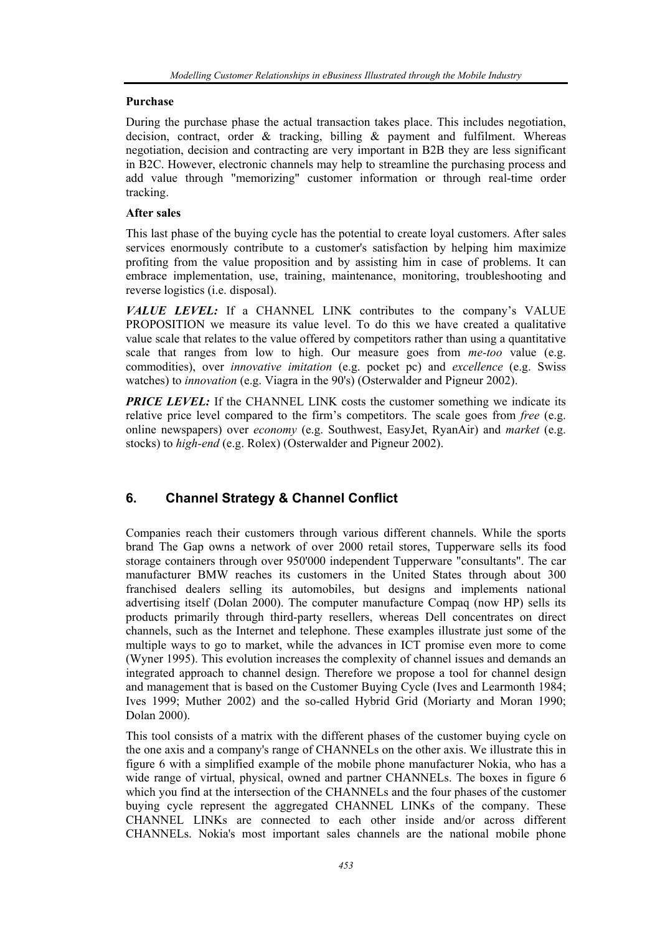## **Purchase**

During the purchase phase the actual transaction takes place. This includes negotiation, decision, contract, order & tracking, billing & payment and fulfilment. Whereas negotiation, decision and contracting are very important in B2B they are less significant in B2C. However, electronic channels may help to streamline the purchasing process and add value through "memorizing" customer information or through real-time order tracking.

## **After sales**

This last phase of the buying cycle has the potential to create loyal customers. After sales services enormously contribute to a customer's satisfaction by helping him maximize profiting from the value proposition and by assisting him in case of problems. It can embrace implementation, use, training, maintenance, monitoring, troubleshooting and reverse logistics (i.e. disposal).

*VALUE LEVEL:* If a CHANNEL LINK contributes to the company's VALUE PROPOSITION we measure its value level. To do this we have created a qualitative value scale that relates to the value offered by competitors rather than using a quantitative scale that ranges from low to high. Our measure goes from *me-too* value (e.g. commodities), over *innovative imitation* (e.g. pocket pc) and *excellence* (e.g. Swiss watches) to *innovation* (e.g. Viagra in the 90's) (Osterwalder and Pigneur 2002).

*PRICE LEVEL:* If the CHANNEL LINK costs the customer something we indicate its relative price level compared to the firm's competitors. The scale goes from *free* (e.g. online newspapers) over *economy* (e.g. Southwest, EasyJet, RyanAir) and *market* (e.g. stocks) to *high-end* (e.g. Rolex) (Osterwalder and Pigneur 2002).

# **6. Channel Strategy & Channel Conflict**

Companies reach their customers through various different channels. While the sports brand The Gap owns a network of over 2000 retail stores, Tupperware sells its food storage containers through over 950'000 independent Tupperware "consultants". The car manufacturer BMW reaches its customers in the United States through about 300 franchised dealers selling its automobiles, but designs and implements national advertising itself (Dolan 2000). The computer manufacture Compaq (now HP) sells its products primarily through third-party resellers, whereas Dell concentrates on direct channels, such as the Internet and telephone. These examples illustrate just some of the multiple ways to go to market, while the advances in ICT promise even more to come (Wyner 1995). This evolution increases the complexity of channel issues and demands an integrated approach to channel design. Therefore we propose a tool for channel design and management that is based on the Customer Buying Cycle (Ives and Learmonth 1984; Ives 1999; Muther 2002) and the so-called Hybrid Grid (Moriarty and Moran 1990; Dolan 2000).

This tool consists of a matrix with the different phases of the customer buying cycle on the one axis and a company's range of CHANNELs on the other axis. We illustrate this in figure 6 with a simplified example of the mobile phone manufacturer Nokia, who has a wide range of virtual, physical, owned and partner CHANNELs. The boxes in figure 6 which you find at the intersection of the CHANNELs and the four phases of the customer buying cycle represent the aggregated CHANNEL LINKs of the company. These CHANNEL LINKs are connected to each other inside and/or across different CHANNELs. Nokia's most important sales channels are the national mobile phone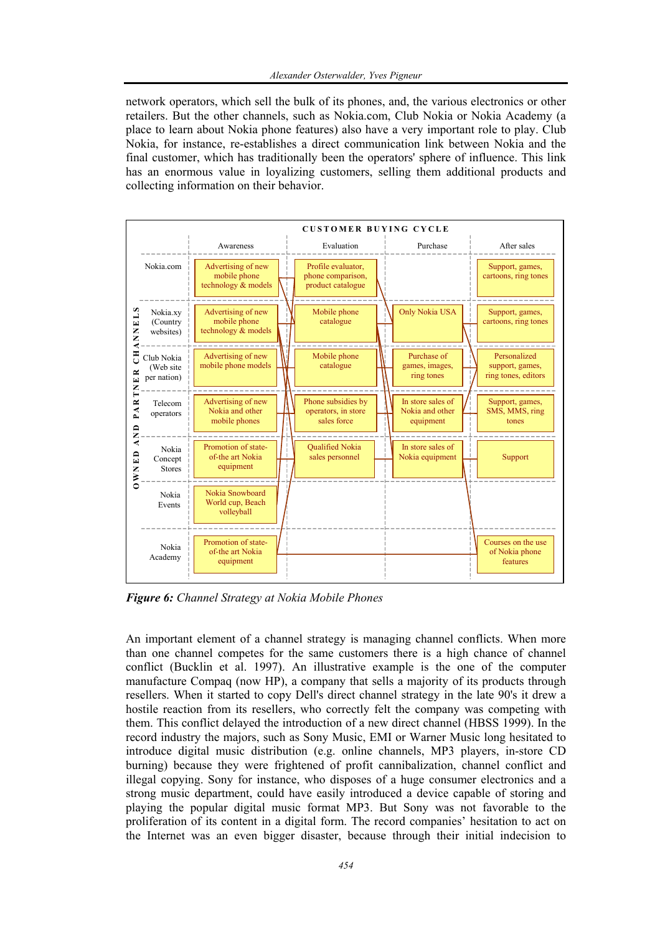network operators, which sell the bulk of its phones, and, the various electronics or other retailers. But the other channels, such as Nokia.com, Club Nokia or Nokia Academy (a place to learn about Nokia phone features) also have a very important role to play. Club Nokia, for instance, re-establishes a direct communication link between Nokia and the final customer, which has traditionally been the operators' sphere of influence. This link has an enormous value in loyalizing customers, selling them additional products and collecting information on their behavior.



*Figure 6: Channel Strategy at Nokia Mobile Phones* 

An important element of a channel strategy is managing channel conflicts. When more than one channel competes for the same customers there is a high chance of channel conflict (Bucklin et al. 1997). An illustrative example is the one of the computer manufacture Compaq (now HP), a company that sells a majority of its products through resellers. When it started to copy Dell's direct channel strategy in the late 90's it drew a hostile reaction from its resellers, who correctly felt the company was competing with them. This conflict delayed the introduction of a new direct channel (HBSS 1999). In the record industry the majors, such as Sony Music, EMI or Warner Music long hesitated to introduce digital music distribution (e.g. online channels, MP3 players, in-store CD burning) because they were frightened of profit cannibalization, channel conflict and illegal copying. Sony for instance, who disposes of a huge consumer electronics and a strong music department, could have easily introduced a device capable of storing and playing the popular digital music format MP3. But Sony was not favorable to the proliferation of its content in a digital form. The record companies' hesitation to act on the Internet was an even bigger disaster, because through their initial indecision to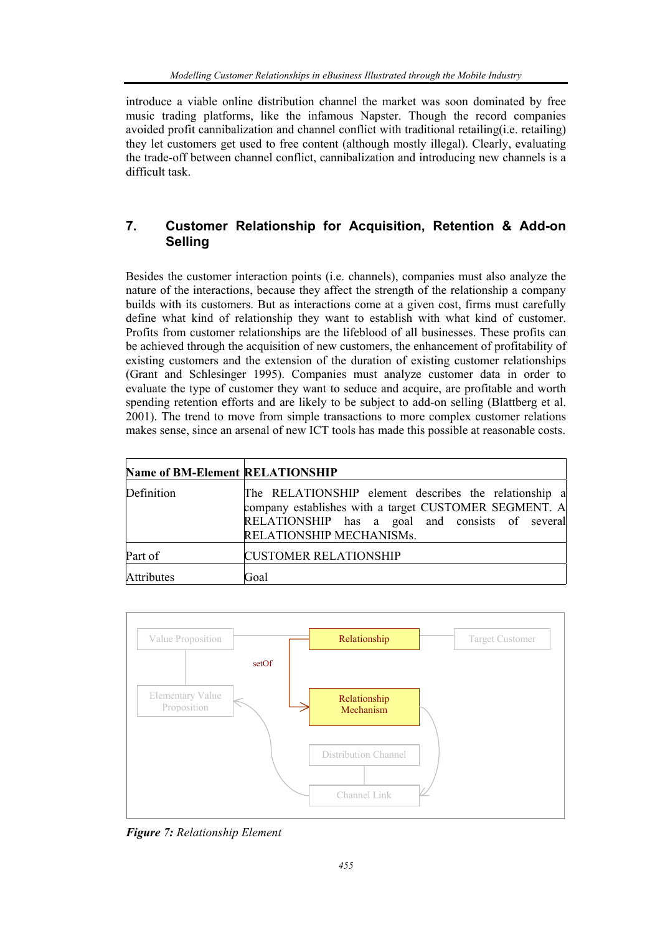introduce a viable online distribution channel the market was soon dominated by free music trading platforms, like the infamous Napster. Though the record companies avoided profit cannibalization and channel conflict with traditional retailing(i.e. retailing) they let customers get used to free content (although mostly illegal). Clearly, evaluating the trade-off between channel conflict, cannibalization and introducing new channels is a difficult task.

# **7. Customer Relationship for Acquisition, Retention & Add-on Selling**

Besides the customer interaction points (i.e. channels), companies must also analyze the nature of the interactions, because they affect the strength of the relationship a company builds with its customers. But as interactions come at a given cost, firms must carefully define what kind of relationship they want to establish with what kind of customer. Profits from customer relationships are the lifeblood of all businesses. These profits can be achieved through the acquisition of new customers, the enhancement of profitability of existing customers and the extension of the duration of existing customer relationships (Grant and Schlesinger 1995). Companies must analyze customer data in order to evaluate the type of customer they want to seduce and acquire, are profitable and worth spending retention efforts and are likely to be subject to add-on selling (Blattberg et al. 2001). The trend to move from simple transactions to more complex customer relations makes sense, since an arsenal of new ICT tools has made this possible at reasonable costs.

| <b>Name of BM-Element RELATIONSHIP</b> |                                                                                                                                                                                               |  |  |  |  |  |
|----------------------------------------|-----------------------------------------------------------------------------------------------------------------------------------------------------------------------------------------------|--|--|--|--|--|
| Definition                             | The RELATIONSHIP element describes the relationship a<br>company establishes with a target CUSTOMER SEGMENT. A<br>RELATIONSHIP has a goal and consists of several<br>RELATIONSHIP MECHANISMs. |  |  |  |  |  |
| Part of                                | <b>CUSTOMER RELATIONSHIP</b>                                                                                                                                                                  |  |  |  |  |  |
| Attributes                             | Goal                                                                                                                                                                                          |  |  |  |  |  |



*Figure 7: Relationship Element*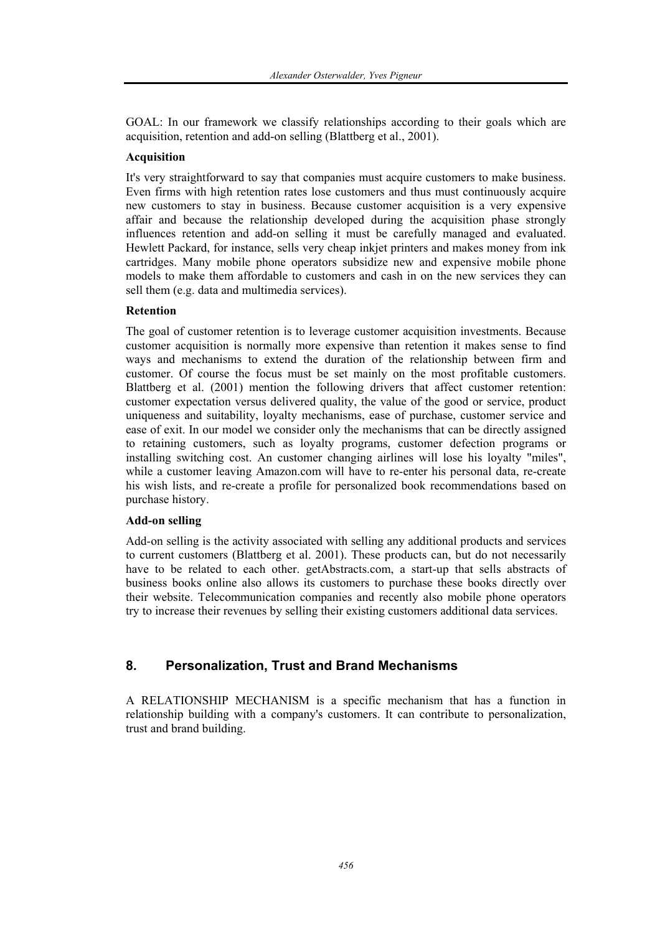GOAL: In our framework we classify relationships according to their goals which are acquisition, retention and add-on selling (Blattberg et al., 2001).

## **Acquisition**

It's very straightforward to say that companies must acquire customers to make business. Even firms with high retention rates lose customers and thus must continuously acquire new customers to stay in business. Because customer acquisition is a very expensive affair and because the relationship developed during the acquisition phase strongly influences retention and add-on selling it must be carefully managed and evaluated. Hewlett Packard, for instance, sells very cheap inkjet printers and makes money from ink cartridges. Many mobile phone operators subsidize new and expensive mobile phone models to make them affordable to customers and cash in on the new services they can sell them (e.g. data and multimedia services).

## **Retention**

The goal of customer retention is to leverage customer acquisition investments. Because customer acquisition is normally more expensive than retention it makes sense to find ways and mechanisms to extend the duration of the relationship between firm and customer. Of course the focus must be set mainly on the most profitable customers. Blattberg et al. (2001) mention the following drivers that affect customer retention: customer expectation versus delivered quality, the value of the good or service, product uniqueness and suitability, loyalty mechanisms, ease of purchase, customer service and ease of exit. In our model we consider only the mechanisms that can be directly assigned to retaining customers, such as loyalty programs, customer defection programs or installing switching cost. An customer changing airlines will lose his loyalty "miles", while a customer leaving Amazon.com will have to re-enter his personal data, re-create his wish lists, and re-create a profile for personalized book recommendations based on purchase history.

## **Add-on selling**

Add-on selling is the activity associated with selling any additional products and services to current customers (Blattberg et al. 2001). These products can, but do not necessarily have to be related to each other. getAbstracts.com, a start-up that sells abstracts of business books online also allows its customers to purchase these books directly over their website. Telecommunication companies and recently also mobile phone operators try to increase their revenues by selling their existing customers additional data services.

# **8. Personalization, Trust and Brand Mechanisms**

A RELATIONSHIP MECHANISM is a specific mechanism that has a function in relationship building with a company's customers. It can contribute to personalization, trust and brand building.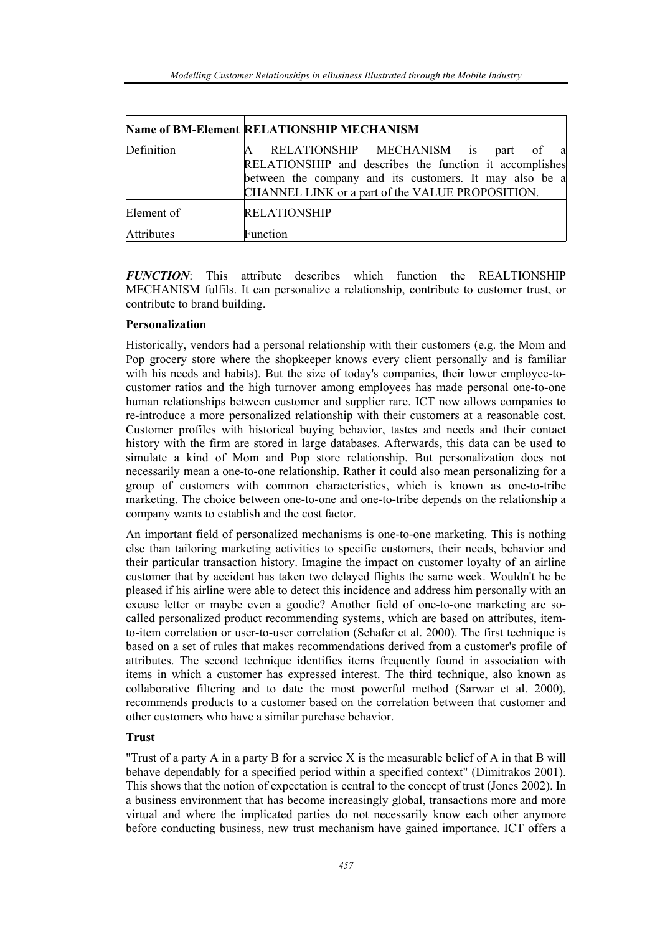|                          | Name of BM-Element RELATIONSHIP MECHANISM                                                                                                                                                                     |
|--------------------------|---------------------------------------------------------------------------------------------------------------------------------------------------------------------------------------------------------------|
| Definition               | RELATIONSHIP MECHANISM is part of a<br>RELATIONSHIP and describes the function it accomplishes<br>between the company and its customers. It may also be a<br>CHANNEL LINK or a part of the VALUE PROPOSITION. |
| Element of<br>Attributes | <b>RELATIONSHIP</b><br>Function                                                                                                                                                                               |

*FUNCTION*: This attribute describes which function the REALTIONSHIP MECHANISM fulfils. It can personalize a relationship, contribute to customer trust, or contribute to brand building.

#### **Personalization**

Historically, vendors had a personal relationship with their customers (e.g. the Mom and Pop grocery store where the shopkeeper knows every client personally and is familiar with his needs and habits). But the size of today's companies, their lower employee-tocustomer ratios and the high turnover among employees has made personal one-to-one human relationships between customer and supplier rare. ICT now allows companies to re-introduce a more personalized relationship with their customers at a reasonable cost. Customer profiles with historical buying behavior, tastes and needs and their contact history with the firm are stored in large databases. Afterwards, this data can be used to simulate a kind of Mom and Pop store relationship. But personalization does not necessarily mean a one-to-one relationship. Rather it could also mean personalizing for a group of customers with common characteristics, which is known as one-to-tribe marketing. The choice between one-to-one and one-to-tribe depends on the relationship a company wants to establish and the cost factor.

An important field of personalized mechanisms is one-to-one marketing. This is nothing else than tailoring marketing activities to specific customers, their needs, behavior and their particular transaction history. Imagine the impact on customer loyalty of an airline customer that by accident has taken two delayed flights the same week. Wouldn't he be pleased if his airline were able to detect this incidence and address him personally with an excuse letter or maybe even a goodie? Another field of one-to-one marketing are socalled personalized product recommending systems, which are based on attributes, itemto-item correlation or user-to-user correlation (Schafer et al. 2000). The first technique is based on a set of rules that makes recommendations derived from a customer's profile of attributes. The second technique identifies items frequently found in association with items in which a customer has expressed interest. The third technique, also known as collaborative filtering and to date the most powerful method (Sarwar et al. 2000), recommends products to a customer based on the correlation between that customer and other customers who have a similar purchase behavior.

## **Trust**

"Trust of a party A in a party B for a service X is the measurable belief of A in that B will behave dependably for a specified period within a specified context" (Dimitrakos 2001). This shows that the notion of expectation is central to the concept of trust (Jones 2002). In a business environment that has become increasingly global, transactions more and more virtual and where the implicated parties do not necessarily know each other anymore before conducting business, new trust mechanism have gained importance. ICT offers a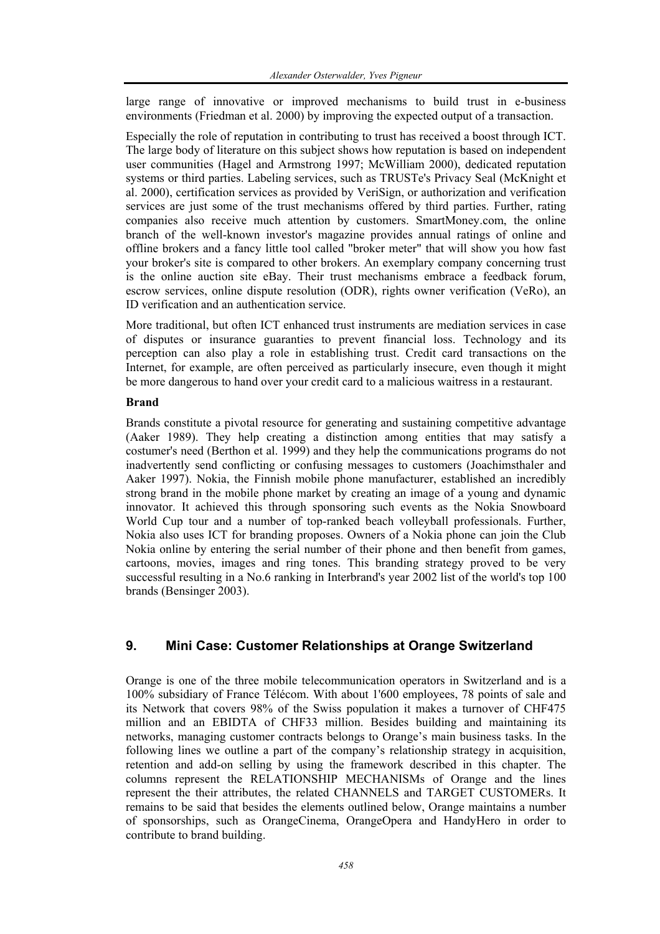large range of innovative or improved mechanisms to build trust in e-business environments (Friedman et al. 2000) by improving the expected output of a transaction.

Especially the role of reputation in contributing to trust has received a boost through ICT. The large body of literature on this subject shows how reputation is based on independent user communities (Hagel and Armstrong 1997; McWilliam 2000), dedicated reputation systems or third parties. Labeling services, such as TRUSTe's Privacy Seal (McKnight et al. 2000), certification services as provided by VeriSign, or authorization and verification services are just some of the trust mechanisms offered by third parties. Further, rating companies also receive much attention by customers. SmartMoney.com, the online branch of the well-known investor's magazine provides annual ratings of online and offline brokers and a fancy little tool called "broker meter" that will show you how fast your broker's site is compared to other brokers. An exemplary company concerning trust is the online auction site eBay. Their trust mechanisms embrace a feedback forum, escrow services, online dispute resolution (ODR), rights owner verification (VeRo), an ID verification and an authentication service.

More traditional, but often ICT enhanced trust instruments are mediation services in case of disputes or insurance guaranties to prevent financial loss. Technology and its perception can also play a role in establishing trust. Credit card transactions on the Internet, for example, are often perceived as particularly insecure, even though it might be more dangerous to hand over your credit card to a malicious waitress in a restaurant.

## **Brand**

Brands constitute a pivotal resource for generating and sustaining competitive advantage (Aaker 1989). They help creating a distinction among entities that may satisfy a costumer's need (Berthon et al. 1999) and they help the communications programs do not inadvertently send conflicting or confusing messages to customers (Joachimsthaler and Aaker 1997). Nokia, the Finnish mobile phone manufacturer, established an incredibly strong brand in the mobile phone market by creating an image of a young and dynamic innovator. It achieved this through sponsoring such events as the Nokia Snowboard World Cup tour and a number of top-ranked beach volleyball professionals. Further, Nokia also uses ICT for branding proposes. Owners of a Nokia phone can join the Club Nokia online by entering the serial number of their phone and then benefit from games, cartoons, movies, images and ring tones. This branding strategy proved to be very successful resulting in a No.6 ranking in Interbrand's year 2002 list of the world's top 100 brands (Bensinger 2003).

## **9. Mini Case: Customer Relationships at Orange Switzerland**

Orange is one of the three mobile telecommunication operators in Switzerland and is a 100% subsidiary of France Télécom. With about 1'600 employees, 78 points of sale and its Network that covers 98% of the Swiss population it makes a turnover of CHF475 million and an EBIDTA of CHF33 million. Besides building and maintaining its networks, managing customer contracts belongs to Orange's main business tasks. In the following lines we outline a part of the company's relationship strategy in acquisition, retention and add-on selling by using the framework described in this chapter. The columns represent the RELATIONSHIP MECHANISMs of Orange and the lines represent the their attributes, the related CHANNELS and TARGET CUSTOMERs. It remains to be said that besides the elements outlined below, Orange maintains a number of sponsorships, such as OrangeCinema, OrangeOpera and HandyHero in order to contribute to brand building.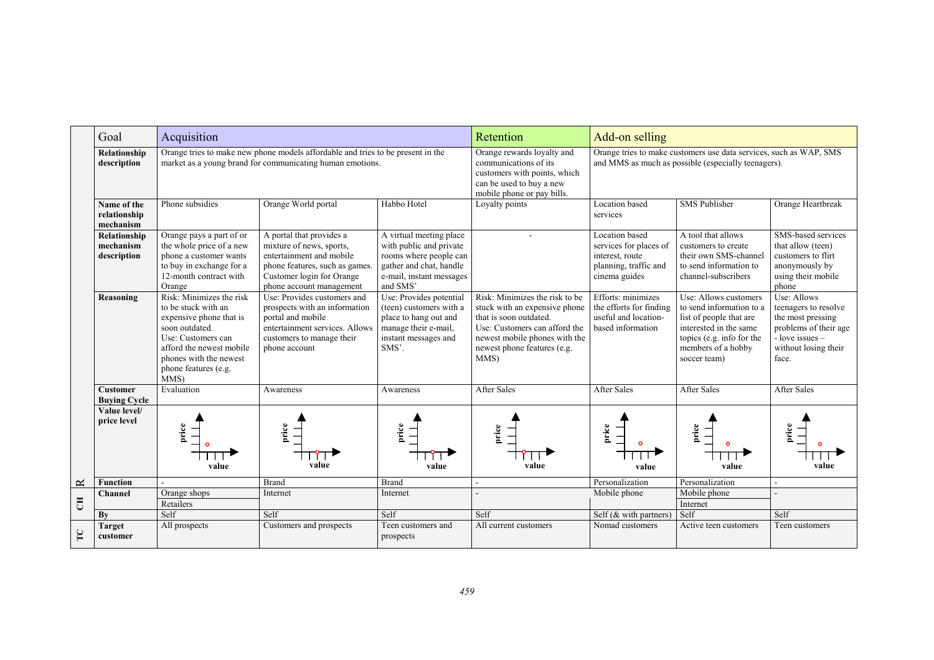|          | Goal                                     | Acquisition                                                                                                                                                                                              |                                                                                                                                                                             |                                                                                                                                                 | Retention                                                                                                                                                                                          | Add-on selling                                                                                                            |                                                                                                                                                                           |                                                                                                                                           |
|----------|------------------------------------------|----------------------------------------------------------------------------------------------------------------------------------------------------------------------------------------------------------|-----------------------------------------------------------------------------------------------------------------------------------------------------------------------------|-------------------------------------------------------------------------------------------------------------------------------------------------|----------------------------------------------------------------------------------------------------------------------------------------------------------------------------------------------------|---------------------------------------------------------------------------------------------------------------------------|---------------------------------------------------------------------------------------------------------------------------------------------------------------------------|-------------------------------------------------------------------------------------------------------------------------------------------|
|          | Relationship<br>description              | Orange tries to make new phone models affordable and tries to be present in the<br>market as a young brand for communicating human emotions.                                                             |                                                                                                                                                                             |                                                                                                                                                 | Orange rewards loyalty and<br>communications of its<br>customers with points, which<br>can be used to buy a new<br>mobile phone or pay bills.                                                      | Orange tries to make customers use data services, such as WAP, SMS<br>and MMS as much as possible (especially teenagers). |                                                                                                                                                                           |                                                                                                                                           |
|          | Name of the<br>relationship<br>mechanism | Phone subsidies                                                                                                                                                                                          | Orange World portal                                                                                                                                                         | Habbo Hotel                                                                                                                                     | Loyalty points                                                                                                                                                                                     | Location based<br>services                                                                                                | <b>SMS Publisher</b>                                                                                                                                                      | Orange Heartbreak                                                                                                                         |
|          | Relationship<br>mechanism<br>description | Orange pays a part of or<br>the whole price of a new<br>phone a customer wants<br>to buy in exchange for a<br>12-month contract with<br>Orange                                                           | A portal that provides a<br>mixture of news, sports,<br>entertainment and mobile<br>phone features, such as games.<br>Customer login for Orange<br>phone account management | A virtual meeting place<br>with public and private<br>rooms where people can<br>gather and chat, handle<br>e-mail, instant messages<br>and SMS' |                                                                                                                                                                                                    | Location based<br>services for places of<br>interest, route<br>planning, traffic and<br>cinema guides                     | A tool that allows<br>customers to create<br>their own SMS-channel<br>to send information to<br>channel-subscribers                                                       | SMS-based services<br>that allow (teen)<br>customers to flirt<br>anonymously by<br>using their mobile<br>phone                            |
|          | Reasoning                                | Risk: Minimizes the risk<br>to be stuck with an<br>expensive phone that is<br>soon outdated.<br>Use: Customers can<br>afford the newest mobile<br>phones with the newest<br>phone features (e.g.<br>MMS) | Use: Provides customers and<br>prospects with an information<br>portal and mobile<br>entertainment services. Allows<br>customers to manage their<br>phone account           | Use: Provides potential<br>(teen) customers with a<br>place to hang out and<br>manage their e-mail,<br>instant messages and<br>SMS'.            | Risk: Minimizes the risk to be<br>stuck with an expensive phone<br>that is soon outdated.<br>Use: Customers can afford the<br>newest mobile phones with the<br>newest phone features (e.g.<br>MMS) | Efforts: minimizes<br>the efforts for finding<br>useful and location-<br>based information                                | Use: Allows customers<br>to send information to a<br>list of people that are<br>interested in the same<br>topics (e.g. info for the<br>members of a hobby<br>soccer team) | Use: Allows<br>teenagers to resolve<br>the most pressing<br>problems of their age<br>$-$ love issues $-$<br>without losing their<br>face. |
|          | <b>Customer</b><br><b>Buying Cycle</b>   | Evaluation                                                                                                                                                                                               | Awareness                                                                                                                                                                   | Awareness                                                                                                                                       | <b>After Sales</b>                                                                                                                                                                                 | <b>After Sales</b>                                                                                                        | <b>After Sales</b>                                                                                                                                                        | After Sales                                                                                                                               |
|          | Value level/<br>price level              | price<br>value                                                                                                                                                                                           | price<br>value                                                                                                                                                              | price<br>value                                                                                                                                  | price<br>value                                                                                                                                                                                     | price<br>value                                                                                                            | price<br>value                                                                                                                                                            | rice<br>value                                                                                                                             |
| ≃        | <b>Function</b>                          |                                                                                                                                                                                                          | <b>Brand</b>                                                                                                                                                                | <b>Brand</b>                                                                                                                                    |                                                                                                                                                                                                    | Personalization                                                                                                           | Personalization                                                                                                                                                           |                                                                                                                                           |
| <b>E</b> | <b>Channel</b>                           | Orange shops<br>Retailers                                                                                                                                                                                | Internet                                                                                                                                                                    | Internet                                                                                                                                        |                                                                                                                                                                                                    | Mobile phone                                                                                                              | Mobile phone<br>Internet                                                                                                                                                  |                                                                                                                                           |
|          | By                                       | Self                                                                                                                                                                                                     | Self                                                                                                                                                                        | Self                                                                                                                                            | Self                                                                                                                                                                                               | Self ( $&$ with partners)                                                                                                 | Self                                                                                                                                                                      | Self                                                                                                                                      |
| $\Gamma$ | <b>Target</b><br>customer                | All prospects                                                                                                                                                                                            | Customers and prospects                                                                                                                                                     | Teen customers and<br>prospects                                                                                                                 | All current customers                                                                                                                                                                              | Nomad customers                                                                                                           | Active teen customers                                                                                                                                                     | Teen customers                                                                                                                            |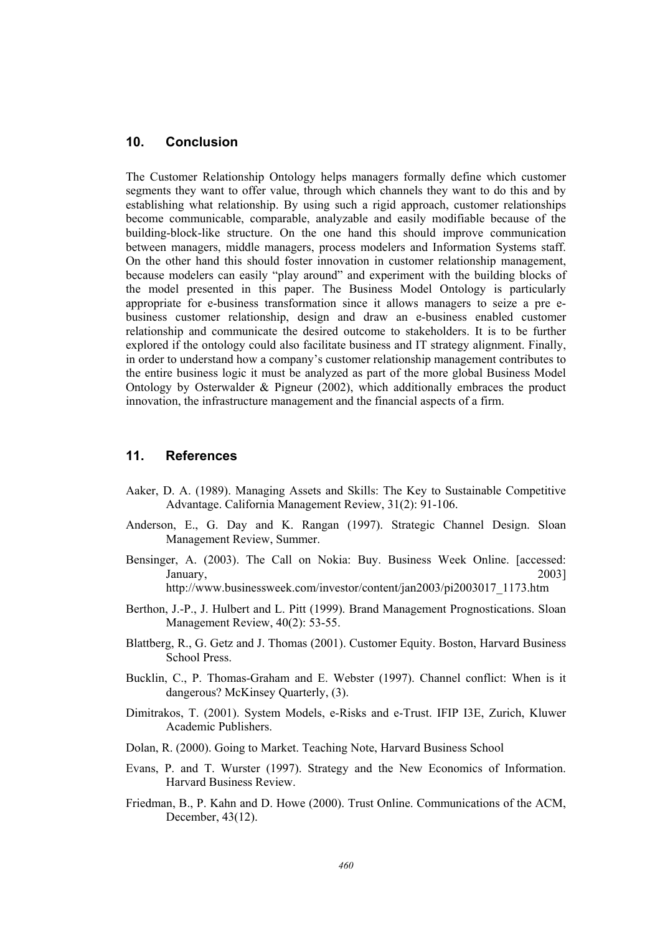# **10. Conclusion**

The Customer Relationship Ontology helps managers formally define which customer segments they want to offer value, through which channels they want to do this and by establishing what relationship. By using such a rigid approach, customer relationships become communicable, comparable, analyzable and easily modifiable because of the building-block-like structure. On the one hand this should improve communication between managers, middle managers, process modelers and Information Systems staff. On the other hand this should foster innovation in customer relationship management, because modelers can easily "play around" and experiment with the building blocks of the model presented in this paper. The Business Model Ontology is particularly appropriate for e-business transformation since it allows managers to seize a pre ebusiness customer relationship, design and draw an e-business enabled customer relationship and communicate the desired outcome to stakeholders. It is to be further explored if the ontology could also facilitate business and IT strategy alignment. Finally, in order to understand how a company's customer relationship management contributes to the entire business logic it must be analyzed as part of the more global Business Model Ontology by Osterwalder & Pigneur (2002), which additionally embraces the product innovation, the infrastructure management and the financial aspects of a firm.

# **11. References**

- Aaker, D. A. (1989). Managing Assets and Skills: The Key to Sustainable Competitive Advantage. California Management Review, 31(2): 91-106.
- Anderson, E., G. Day and K. Rangan (1997). Strategic Channel Design. Sloan Management Review, Summer.
- Bensinger, A. (2003). The Call on Nokia: Buy. Business Week Online. [accessed: January, 2003] http://www.businessweek.com/investor/content/jan2003/pi2003017\_1173.htm

- Berthon, J.-P., J. Hulbert and L. Pitt (1999). Brand Management Prognostications. Sloan Management Review, 40(2): 53-55.
- Blattberg, R., G. Getz and J. Thomas (2001). Customer Equity. Boston, Harvard Business School Press.
- Bucklin, C., P. Thomas-Graham and E. Webster (1997). Channel conflict: When is it dangerous? McKinsey Quarterly, (3).
- Dimitrakos, T. (2001). System Models, e-Risks and e-Trust. IFIP I3E, Zurich, Kluwer Academic Publishers.
- Dolan, R. (2000). Going to Market. Teaching Note, Harvard Business School
- Evans, P. and T. Wurster (1997). Strategy and the New Economics of Information. Harvard Business Review.
- Friedman, B., P. Kahn and D. Howe (2000). Trust Online. Communications of the ACM, December, 43(12).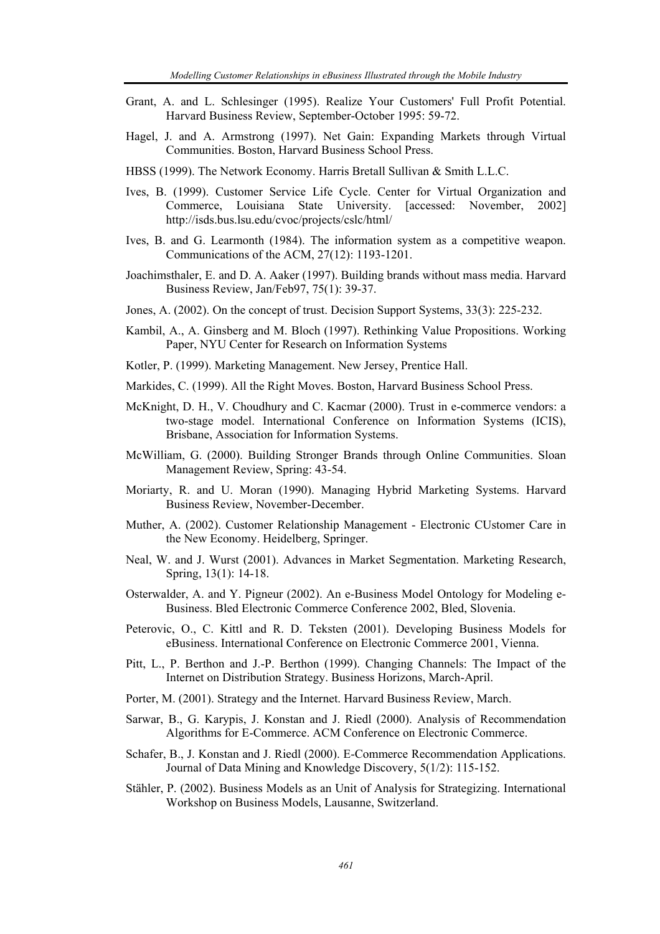- Grant, A. and L. Schlesinger (1995). Realize Your Customers' Full Profit Potential. Harvard Business Review, September-October 1995: 59-72.
- Hagel, J. and A. Armstrong (1997). Net Gain: Expanding Markets through Virtual Communities. Boston, Harvard Business School Press.
- HBSS (1999). The Network Economy. Harris Bretall Sullivan & Smith L.L.C.
- Ives, B. (1999). Customer Service Life Cycle. Center for Virtual Organization and Commerce, Louisiana State University. [accessed: November, 2002] http://isds.bus.lsu.edu/cvoc/projects/cslc/html/
- Ives, B. and G. Learmonth (1984). The information system as a competitive weapon. Communications of the ACM, 27(12): 1193-1201.
- Joachimsthaler, E. and D. A. Aaker (1997). Building brands without mass media. Harvard Business Review, Jan/Feb97, 75(1): 39-37.
- Jones, A. (2002). On the concept of trust. Decision Support Systems, 33(3): 225-232.
- Kambil, A., A. Ginsberg and M. Bloch (1997). Rethinking Value Propositions. Working Paper, NYU Center for Research on Information Systems
- Kotler, P. (1999). Marketing Management. New Jersey, Prentice Hall.
- Markides, C. (1999). All the Right Moves. Boston, Harvard Business School Press.
- McKnight, D. H., V. Choudhury and C. Kacmar (2000). Trust in e-commerce vendors: a two-stage model. International Conference on Information Systems (ICIS), Brisbane, Association for Information Systems.
- McWilliam, G. (2000). Building Stronger Brands through Online Communities. Sloan Management Review, Spring: 43-54.
- Moriarty, R. and U. Moran (1990). Managing Hybrid Marketing Systems. Harvard Business Review, November-December.
- Muther, A. (2002). Customer Relationship Management Electronic CUstomer Care in the New Economy. Heidelberg, Springer.
- Neal, W. and J. Wurst (2001). Advances in Market Segmentation. Marketing Research, Spring, 13(1): 14-18.
- Osterwalder, A. and Y. Pigneur (2002). An e-Business Model Ontology for Modeling e-Business. Bled Electronic Commerce Conference 2002, Bled, Slovenia.
- Peterovic, O., C. Kittl and R. D. Teksten (2001). Developing Business Models for eBusiness. International Conference on Electronic Commerce 2001, Vienna.
- Pitt, L., P. Berthon and J.-P. Berthon (1999). Changing Channels: The Impact of the Internet on Distribution Strategy. Business Horizons, March-April.
- Porter, M. (2001). Strategy and the Internet. Harvard Business Review, March.
- Sarwar, B., G. Karypis, J. Konstan and J. Riedl (2000). Analysis of Recommendation Algorithms for E-Commerce. ACM Conference on Electronic Commerce.
- Schafer, B., J. Konstan and J. Riedl (2000). E-Commerce Recommendation Applications. Journal of Data Mining and Knowledge Discovery, 5(1/2): 115-152.
- Stähler, P. (2002). Business Models as an Unit of Analysis for Strategizing. International Workshop on Business Models, Lausanne, Switzerland.